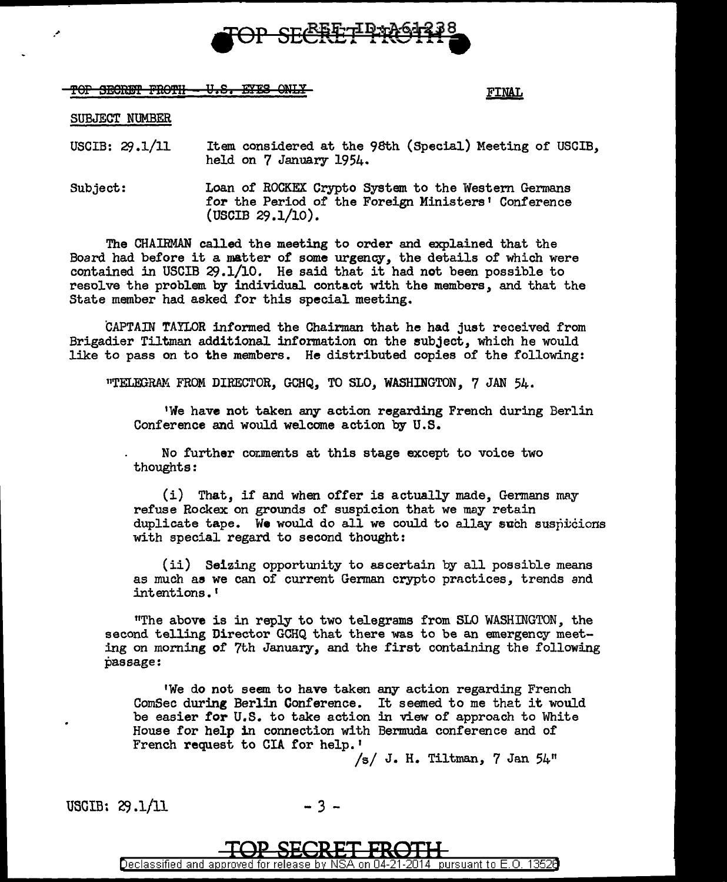

!OP SEletm PRO'i'H Y •Sa E¥!8 QW:t.Y FINAL

## SUBJECT NUMBER

*:"* 

USCIB: *2\$* .1/11 Item considered at the 98th (Special) Meeting of USCIB, held on 7 January 1954.

Subject: Loan of ROCKEX Crypto System to the Western Germans for the Period of the Foreign Ministers' Conference (USCIB 29.1/10).

The CHAIRMAN called the meeting to order and explained that the Board had before it a matter of some urgency, the details of which were contained in USCIB 29.1/10. He said that it had not been possible to resolve the problem by individual contact with the members, and that the State member had asked for this special meeting.

CAPTAIN TAYLOR informed the Chairman that he had just received from Brigadier Tiltman additional information on the subject, which he would like to pass on to the members. He distributed copies of the following:

"TELEGRAM FROM DIRECTOR, GCHQ, TO SLO, WASHINGTON, 7 JAN 54.

1We have not taken any action regarding French during Berlin Conference and would welcome action by U.S.

No further comments at this stage except to voice two thoughts:

(i) That, if and when offer is actually made, Germans may refuse Rockex on grounds of suspicion that we may retain duplicate tape. We would do all we could to allay such suspitcions with special regard to second thought:

(ii) Seizing opportunity to ascertain by all possible means as much as we can of current German crypto prnctices, trends and intentions.'

"The above is in reply to two telegrams from SLO WASHINGTON, the second telling Director GCHQ that there was to be an emergency meeting on morning of 7th January, and the first containing the following passage:

1We do not seem to have taken any action regarding French ComSec during Berlin Conference. It seemed to me that it would be easier for U.S. to take action in view of approach to White House for help in connection with Bermuda conference and of French request to CIA for help. <sup>1</sup>

 $/s/ J. H. Tiltman, 7 Jan  $54^{\prime\prime\prime}$$ 

USGIB: 29.1/11 - 3 -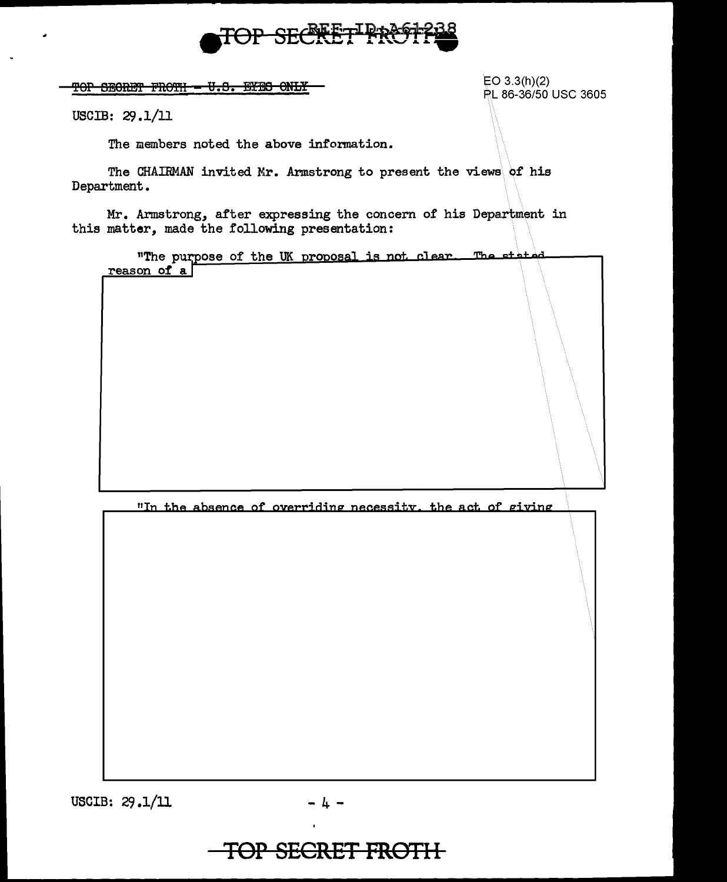

 $\frac{1}{\sqrt{10}}$   $\frac{1}{\sqrt{10}}$   $\frac{1}{\sqrt{10}}$   $\frac{1}{\sqrt{10}}$   $\frac{1}{\sqrt{10}}$   $\frac{1}{\sqrt{10}}$   $\frac{1}{\sqrt{10}}$   $\frac{1}{\sqrt{10}}$   $\frac{1}{\sqrt{10}}$   $\frac{1}{\sqrt{10}}$   $\frac{1}{\sqrt{10}}$   $\frac{1}{\sqrt{10}}$   $\frac{1}{\sqrt{10}}$   $\frac{1}{\sqrt{10}}$   $\frac{1}{\sqrt{10}}$   $\frac{1}{\sqrt{10$ 

PL 86-36/50 USC 3605

USCIB: 29.1/11

The members noted the above information.

The CHAIRMAN invited Mr. Armstrong to present the views of his Department.

Mr. Armstrong, after expressing the concern of his Department in this matter, made the following presentation:

"The purpose of the UK proposal is not clear. The stated reason of a

"In the absence of overriding necessity, the act of giving

USCIB:  $29.1/11$ 

$$
-4 -
$$

## **TOP SECRET FROTH**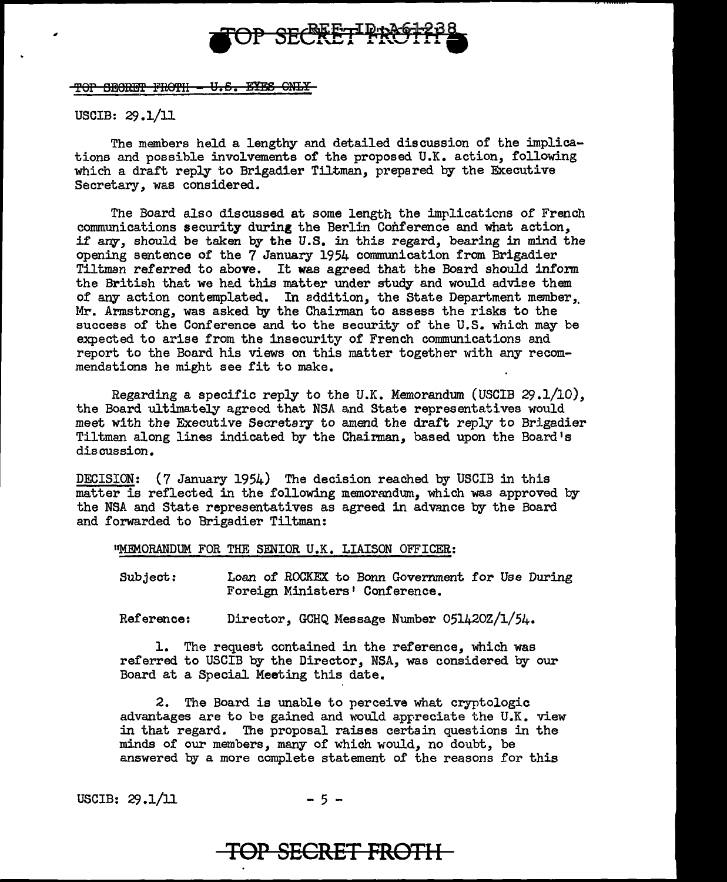

TOP SECRET FROTH - U.S. EYES GNLY

USCIB: 29.1/11

The members held a lengthy and detailed discussion of the implications and possible involvements of the proposed U.K. action, following which a draft reply to Brigadier Tiltman, prepared by the Executive Secretary, was considered.

The Board also discussed at some length the implications of French communications security during the Berlin Conference and what action, if any, should be taken by the U.S. in this regard, bearing in mind the opening sentence of the 7 January 1954 communication from Brigadier Tiltman referred to above. It was agreed that the Board should inform the British that we had this matter under study and would advise them of any action contemplated. In addition, the State Department member,, Mr. Armstrong, was asked by the Chairman to assess the risks to the success of the Conference and to the security of the U.S. which may be expected to arise from the insecurity of French communications and report to the Board his views on this matter together with any recommendations he might see fit to make.

Regarding a specific reply to the U.K. Memorandum (USCIB 29.1/10), the Board ultimately agreed that NSA and State representatives would meet with the Executive Secretary to amend the draft reply to Brigadier Tiltman along lines indicated by the Chairman, based upon the Board's discussion.

DECISION: (7 January 1954) The decision reached by USCIB in this matter is reflected in the following memorandum, which was approved by the NSA and State representatives as agreed in advance by the Board and forwarded to Brigadier Tiltman:

"MEMORANDUM FOR THE SENIOR U.K. LIAISON OFFICER:

Subject: Loan of ROCKEX to Bonn Government for Use During Foreign Ministers' Conference.

Reference: Director, GCHQ Message Number 051420Z/l/54.

1. The request contained in the reference, which was referred to USCIB by the Director, NSA, was considered by our Board at a Special Meeting this date.

2. The Board is unable to perceive what cryptologic advantages are to be gained and would appreciate the U .K. view in that regard. The proposal raises certain questions in the minds of our members, many of which would, no doubt, be answered by a more complete statement of the reasons for this

USCIB:  $29.1/11$  - 5 -

## **TOP SECRET FROTH**